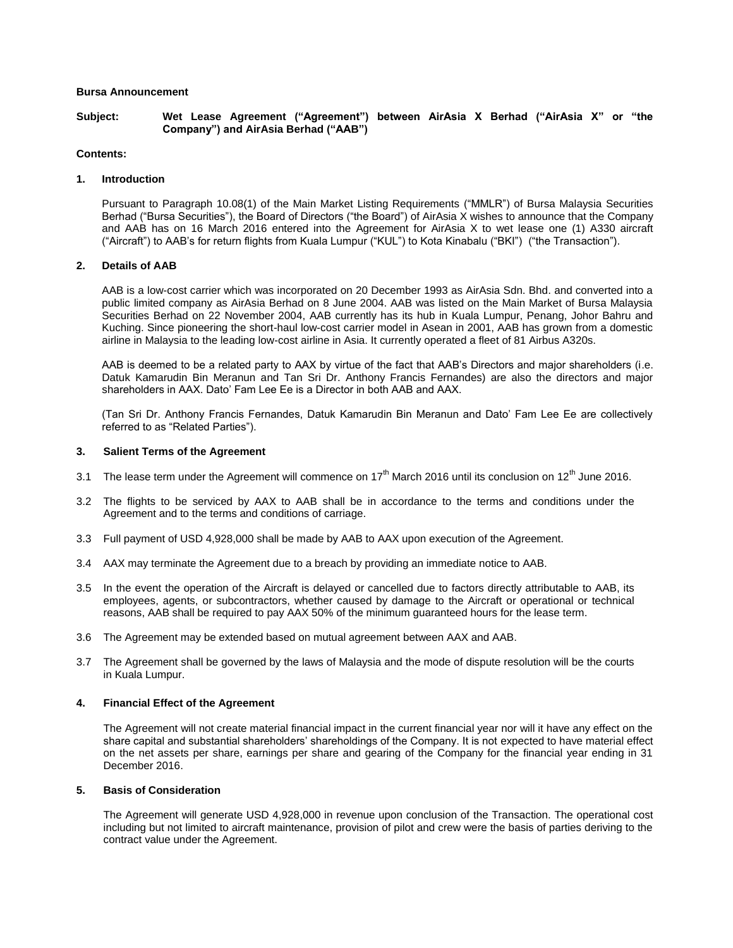# **Bursa Announcement**

**Subject: Wet Lease Agreement ("Agreement") between AirAsia X Berhad ("AirAsia X" or "the Company") and AirAsia Berhad ("AAB")**

# **Contents:**

#### **1. Introduction**

Pursuant to Paragraph 10.08(1) of the Main Market Listing Requirements ("MMLR") of Bursa Malaysia Securities Berhad ("Bursa Securities"), the Board of Directors ("the Board") of AirAsia X wishes to announce that the Company and AAB has on 16 March 2016 entered into the Agreement for AirAsia X to wet lease one (1) A330 aircraft ("Aircraft") to AAB's for return flights from Kuala Lumpur ("KUL") to Kota Kinabalu ("BKI") ("the Transaction").

# **2. Details of AAB**

AAB is a low-cost carrier which was incorporated on 20 December 1993 as AirAsia Sdn. Bhd. and converted into a public limited company as AirAsia Berhad on 8 June 2004. AAB was listed on the Main Market of Bursa Malaysia Securities Berhad on 22 November 2004, AAB currently has its hub in Kuala Lumpur, Penang, Johor Bahru and Kuching. Since pioneering the short-haul low-cost carrier model in Asean in 2001, AAB has grown from a domestic airline in Malaysia to the leading low-cost airline in Asia. It currently operated a fleet of 81 Airbus A320s.

AAB is deemed to be a related party to AAX by virtue of the fact that AAB's Directors and major shareholders (i.e. Datuk Kamarudin Bin Meranun and Tan Sri Dr. Anthony Francis Fernandes) are also the directors and major shareholders in AAX. Dato' Fam Lee Ee is a Director in both AAB and AAX.

(Tan Sri Dr. Anthony Francis Fernandes, Datuk Kamarudin Bin Meranun and Dato' Fam Lee Ee are collectively referred to as "Related Parties").

#### **3. Salient Terms of the Agreement**

- 3.1 The lease term under the Agreement will commence on  $17<sup>th</sup>$  March 2016 until its conclusion on  $12<sup>th</sup>$  June 2016.
- 3.2 The flights to be serviced by AAX to AAB shall be in accordance to the terms and conditions under the Agreement and to the terms and conditions of carriage.
- 3.3 Full payment of USD 4,928,000 shall be made by AAB to AAX upon execution of the Agreement.
- 3.4 AAX may terminate the Agreement due to a breach by providing an immediate notice to AAB.
- 3.5 In the event the operation of the Aircraft is delayed or cancelled due to factors directly attributable to AAB, its employees, agents, or subcontractors, whether caused by damage to the Aircraft or operational or technical reasons, AAB shall be required to pay AAX 50% of the minimum guaranteed hours for the lease term.
- 3.6 The Agreement may be extended based on mutual agreement between AAX and AAB.
- 3.7 The Agreement shall be governed by the laws of Malaysia and the mode of dispute resolution will be the courts in Kuala Lumpur.

#### **4. Financial Effect of the Agreement**

The Agreement will not create material financial impact in the current financial year nor will it have any effect on the share capital and substantial shareholders' shareholdings of the Company. It is not expected to have material effect on the net assets per share, earnings per share and gearing of the Company for the financial year ending in 31 December 2016.

# **5. Basis of Consideration**

The Agreement will generate USD 4,928,000 in revenue upon conclusion of the Transaction. The operational cost including but not limited to aircraft maintenance, provision of pilot and crew were the basis of parties deriving to the contract value under the Agreement.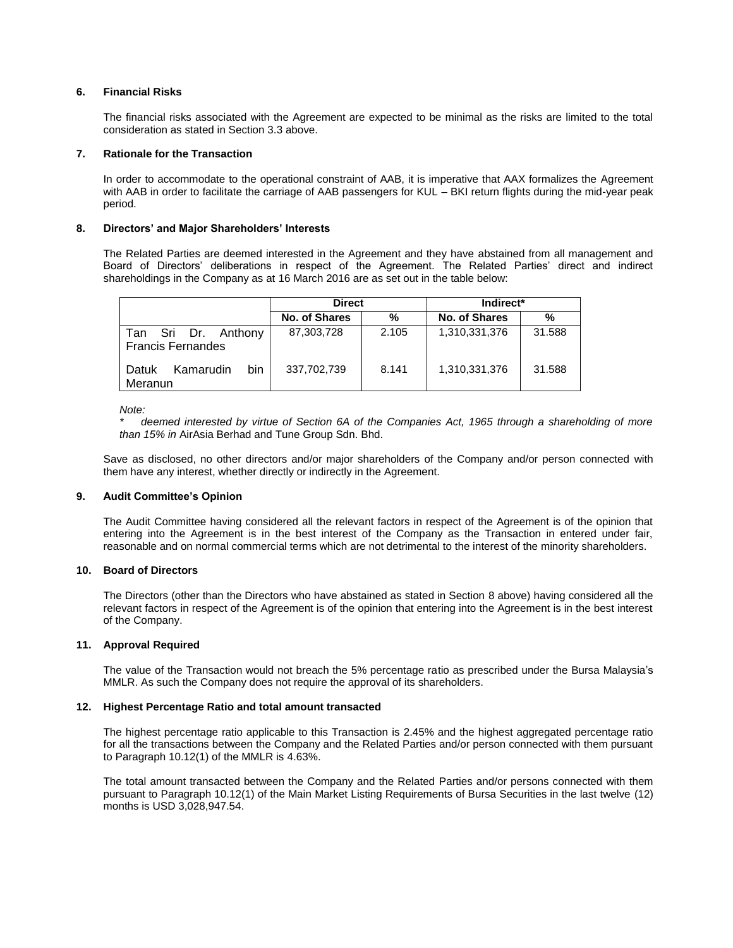# **6. Financial Risks**

The financial risks associated with the Agreement are expected to be minimal as the risks are limited to the total consideration as stated in Section 3.3 above.

# **7. Rationale for the Transaction**

In order to accommodate to the operational constraint of AAB, it is imperative that AAX formalizes the Agreement with AAB in order to facilitate the carriage of AAB passengers for KUL – BKI return flights during the mid-year peak period.

# **8. Directors' and Major Shareholders' Interests**

The Related Parties are deemed interested in the Agreement and they have abstained from all management and Board of Directors' deliberations in respect of the Agreement. The Related Parties' direct and indirect shareholdings in the Company as at 16 March 2016 are as set out in the table below:

|                                                 | <b>Direct</b> |       | Indirect*     |        |
|-------------------------------------------------|---------------|-------|---------------|--------|
|                                                 | No. of Shares | %     | No. of Shares | %      |
| Tan Sri Dr. Anthony<br><b>Francis Fernandes</b> | 87,303,728    | 2.105 | 1,310,331,376 | 31.588 |
| bin<br>Kamarudin<br>Datuk<br>Meranun            | 337,702,739   | 8.141 | 1,310,331,376 | 31.588 |

*Note:*

*\* deemed interested by virtue of Section 6A of the Companies Act, 1965 through a shareholding of more than 15% in* AirAsia Berhad and Tune Group Sdn. Bhd.

Save as disclosed, no other directors and/or major shareholders of the Company and/or person connected with them have any interest, whether directly or indirectly in the Agreement.

# **9. Audit Committee's Opinion**

The Audit Committee having considered all the relevant factors in respect of the Agreement is of the opinion that entering into the Agreement is in the best interest of the Company as the Transaction in entered under fair, reasonable and on normal commercial terms which are not detrimental to the interest of the minority shareholders.

# **10. Board of Directors**

The Directors (other than the Directors who have abstained as stated in Section 8 above) having considered all the relevant factors in respect of the Agreement is of the opinion that entering into the Agreement is in the best interest of the Company.

#### **11. Approval Required**

The value of the Transaction would not breach the 5% percentage ratio as prescribed under the Bursa Malaysia's MMLR. As such the Company does not require the approval of its shareholders.

#### **12. Highest Percentage Ratio and total amount transacted**

The highest percentage ratio applicable to this Transaction is 2.45% and the highest aggregated percentage ratio for all the transactions between the Company and the Related Parties and/or person connected with them pursuant to Paragraph 10.12(1) of the MMLR is 4.63%.

The total amount transacted between the Company and the Related Parties and/or persons connected with them pursuant to Paragraph 10.12(1) of the Main Market Listing Requirements of Bursa Securities in the last twelve (12) months is USD 3,028,947.54.